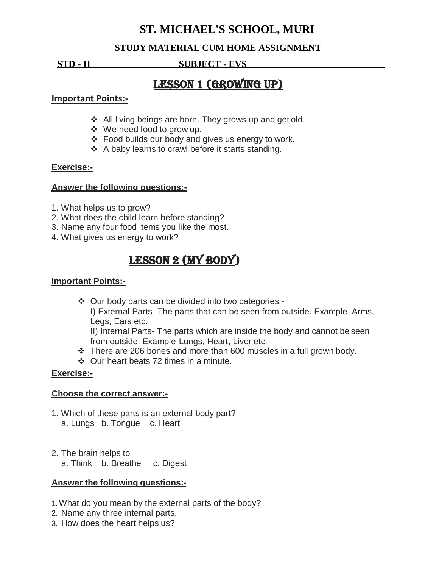## **ST. MICHAEL'S SCHOOL, MURI**

## **STUDY MATERIAL CUM HOME ASSIGNMENT**

**STD - II SUBJECT - EVS .**

# Lesson 1 (Growing Up)

#### **Important Points:-**

- ❖ All living beings are born. They grows up and get old.
- We need food to grow up.
- Food builds our body and gives us energy to work.
- ❖ A baby learns to crawl before it starts standing.

### **Exercise:-**

#### **Answer the following questions:-**

- 1. What helps us to grow?
- 2. What does the child learn before standing?
- 3. Name any four food items you like the most.
- 4. What gives us energy to work?

# LESSON 2 (MY BODY)

### **Important Points:-**

Our body parts can be divided into two categories:-

I) External Parts- The parts that can be seen from outside. Example- Arms, Legs, Ears etc.

II) Internal Parts- The parts which are inside the body and cannot be seen from outside. Example-Lungs, Heart, Liver etc.

- $\div$  There are 206 bones and more than 600 muscles in a full grown body.
- Our heart beats 72 times in a minute.

## **Exercise:-**

#### **Choose the correct answer:-**

- 1. Which of these parts is an external body part? a. Lungs b. Tongue c. Heart
- 2. The brain helps to
	- a. Think b. Breathe c. Digest

#### **Answer the following questions:-**

- 1.What do you mean by the external parts of the body?
- 2. Name any three internal parts.
- 3. How does the heart helps us?